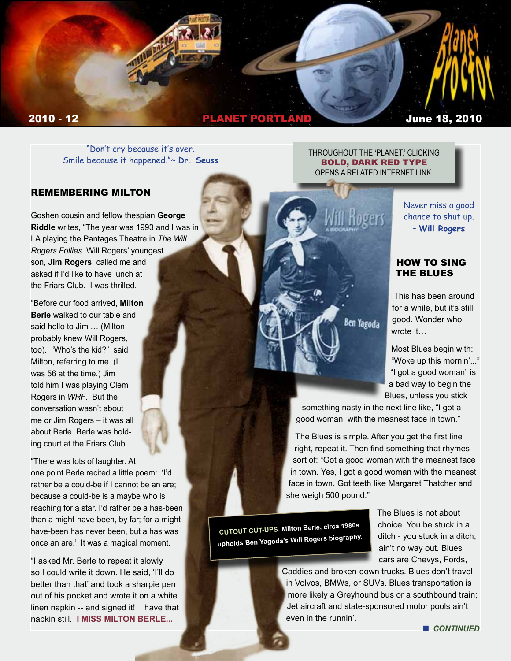

"Don't cry because it's over. Smile because it happened."~ **Dr. Seuss**

#### REMEMBERING MILTON

Goshen cousin and fellow thespian **George Riddle** writes, "The year was 1993 and I was in LA playing the Pantages Theatre in *The Will Rogers Follies*. Will Rogers' youngest son, **Jim Rogers**, called me and asked if I'd like to have lunch at the Friars Club. I was thrilled.

"Before our food arrived, **Milton Berle** walked to our table and said hello to Jim … (Milton probably knew Will Rogers, too). "Who's the kid?" said Milton, referring to me. (I was 56 at the time.) Jim told him I was playing Clem Rogers in *WRF*. But the conversation wasn't about me or Jim Rogers – it was all about Berle. Berle was holding court at the Friars Club.

"There was lots of laughter. At one point Berle recited a little poem: 'I'd rather be a could-be if I cannot be an are; because a could-be is a maybe who is reaching for a star. I'd rather be a has-been than a might-have-been, by far; for a might have-been has never been, but a has was once an are.' It was a magical moment.

"I asked Mr. Berle to repeat it slowly so I could write it down. He said, 'I'll do better than that' and took a sharpie pen out of his pocket and wrote it on a white linen napkin -- and signed it! I have that napkin still. **I MISS MILTON BERLE...**

THROUGHOUT THE 'PLANET,' CLICKING BOLD, DARK RED TYPE OPENS A RELATED INTERNET LINK.

> Never miss a good chance to shut up. – **Will Rogers**

#### HOW TO SING THE BLUES

This has been around for a while, but it's still good. Wonder who wrote it…

Most Blues begin with: "Woke up this mornin'..." "I got a good woman" is a bad way to begin the Blues, unless you stick

something nasty in the next line like, "I got a good woman, with the meanest face in town."

**Ben Yagoda** 

The Blues is simple. After you get the first line right, repeat it. Then find something that rhymes sort of: "Got a good woman with the meanest face in town. Yes, I got a good woman with the meanest face in town. Got teeth like Margaret Thatcher and she weigh 500 pound."

**CUTOUT CUT-UPS. Milton Berle, circa 1980s upholds Ben Yagoda's Will Rogers biography.** The Blues is not about choice. You be stuck in a ditch - you stuck in a ditch, ain't no way out. Blues cars are Chevys, Fords,

Caddies and broken-down trucks. Blues don't travel in Volvos, BMWs, or SUVs. Blues transportation is more likely a Greyhound bus or a southbound train; Jet aircraft and state-sponsored motor pools ain't even in the runnin'.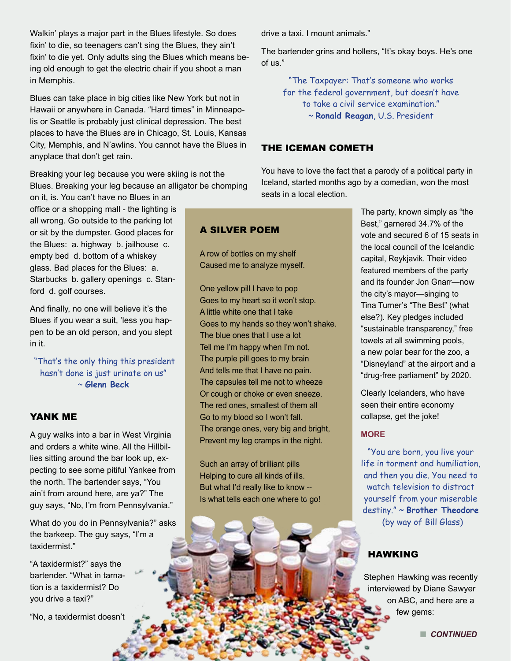Walkin' plays a major part in the Blues lifestyle. So does fixin' to die, so teenagers can't sing the Blues, they ain't fixin' to die yet. Only adults sing the Blues which means being old enough to get the electric chair if you shoot a man in Memphis.

Blues can take place in big cities like New York but not in Hawaii or anywhere in Canada. "Hard times" in Minneapolis or Seattle is probably just clinical depression. The best places to have the Blues are in Chicago, St. Louis, Kansas City, Memphis, and N'awlins. You cannot have the Blues in anyplace that don't get rain.

Breaking your leg because you were skiing is not the Blues. Breaking your leg because an alligator be chomping

on it, is. You can't have no Blues in an office or a shopping mall - the lighting is all wrong. Go outside to the parking lot or sit by the dumpster. Good places for the Blues: a. highway b. jailhouse c. empty bed d. bottom of a whiskey glass. Bad places for the Blues: a. Starbucks b. gallery openings c. Stanford d. golf courses.

And finally, no one will believe it's the Blues if you wear a suit, 'less you happen to be an old person, and you slept in it.

 "That's the only thing this president hasn't done is just urinate on us" ~ **Glenn Beck** 

# YANK ME

A guy walks into a bar in West Virginia and orders a white wine. All the Hillbillies sitting around the bar look up, expecting to see some pitiful Yankee from the north. The bartender says, "You ain't from around here, are ya?" The guy says, "No, I'm from Pennsylvania."

What do you do in Pennsylvania?" asks the barkeep. The guy says, "I'm a taxidermist."

"A taxidermist?" says the bartender. "What in tarnation is a taxidermist? Do you drive a taxi?"

"No, a taxidermist doesn't

drive a taxi. I mount animals."

The bartender grins and hollers, "It's okay boys. He's one of us."

"The Taxpayer: That's someone who works for the federal government, but doesn't have to take a civil service examination." ~ **Ronald Reagan**, U.S. President

#### THE ICEMAN COMETH

You have to love the fact that a parody of a political party in Iceland, started months ago by a comedian, won the most seats in a local election.

# A SILVER POEM

A row of bottles on my shelf Caused me to analyze myself.

One yellow pill I have to pop Goes to my heart so it won't stop. A little white one that I take Goes to my hands so they won't shake. The blue ones that I use a lot Tell me I'm happy when I'm not. The purple pill goes to my brain And tells me that I have no pain. The capsules tell me not to wheeze Or cough or choke or even sneeze. The red ones, smallest of them all Go to my blood so I won't fall. The orange ones, very big and bright, Prevent my leg cramps in the night.

Such an array of brilliant pills Helping to cure all kinds of ills. But what I'd really like to know -- Is what tells each one where to go! The party, known simply as "the Best," garnered 34.7% of the vote and secured 6 of 15 seats in the local council of the Icelandic capital, Reykjavik. Their video featured members of the party and its founder Jon Gnarr—now the city's mayor—singing to Tina Turner's "The Best" (what else?). Key pledges included "sustainable transparency," free towels at all swimming pools, a new polar bear for the zoo, a "Disneyland" at the airport and a "drug-free parliament" by 2020.

Clearly Icelanders, who have seen their entire economy collapse, get the joke!

#### **MORE**

"You are born, you live your life in torment and humiliation, and then you die. You need to watch television to distract yourself from your miserable destiny." ~ **Brother Theodore**  (by way of Bill Glass)

# HAWKING

Stephen Hawking was recently interviewed by Diane Sawyer on ABC, and here are a few gems: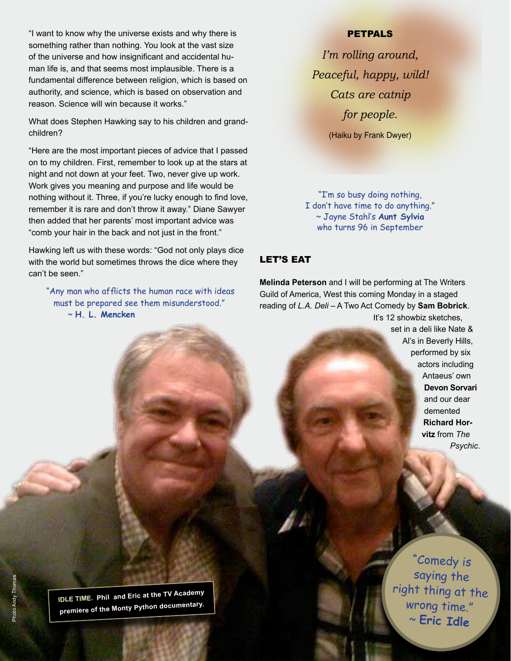"I want to know why the universe exists and why there is something rather than nothing. You look at the vast size of the universe and how insignificant and accidental human life is, and that seems most implausible. There is a fundamental difference between religion, which is based on authority, and science, which is based on observation and reason. Science will win because it works."

What does Stephen Hawking say to his children and grandchildren?

"Here are the most important pieces of advice that I passed on to my children. First, remember to look up at the stars at night and not down at your feet. Two, never give up work. Work gives you meaning and purpose and life would be nothing without it. Three, if you're lucky enough to find love, remember it is rare and don't throw it away." Diane Sawyer then added that her parents' most important advice was "comb your hair in the back and not just in the front."

Hawking left us with these words: "God not only plays dice with the world but sometimes throws the dice where they can't be seen."

 "Any man who afflicts the human race with ideas must be prepared see them misunderstood." ~ **H. L. Mencken**

#### PETPALS

*I'm rolling around, Peaceful, happy, wild! Cats are catnip for people.* (Haiku by Frank Dwyer)

"I'm so busy doing nothing, I don't have time to do anything." ~ Jayne Stahl's **Aunt Sylvia**  who turns 96 in September

### LET'S EAT

**Melinda Peterson** and I will be performing at The Writers Guild of America, West this coming Monday in a staged reading of *L.A. Deli* – A Two Act Comedy by **Sam Bobrick**. It's 12 showbiz sketches,

> set in a deli like Nate & Al's in Beverly Hills, performed by six actors including Antaeus' own **Devon Sorvari** and our dear demented **Richard Horvitz** from *The Psychic*.

n *CONTINUED* ~ **Eric Idle**"Comedy is saying the right thing at the wrong time."

**IDLE TIME. Phil and Eric at the TV Academy premiere of the Monty Python documentary.**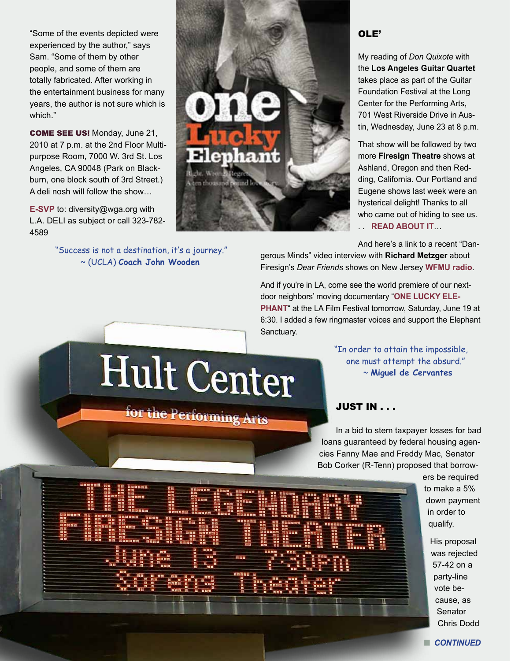"Some of the events depicted were experienced by the author," says Sam. "Some of them by other people, and some of them are totally fabricated. After working in the entertainment business for many years, the author is not sure which is which."

COME SEE US! Monday, June 21, 2010 at 7 p.m. at the 2nd Floor Multipurpose Room, 7000 W. 3rd St. Los Angeles, CA 90048 (Park on Blackburn, one block south of 3rd Street.) A deli nosh will follow the show…

**E-SVP** to: diversity@wga.org with L.A. DELI as subject or call 323-782- 4589

> "Success is not a destination, it's a journey." ~ (UCLA) **Coach John Wooden**



#### OLE'

My reading of *Don Quixote* with the **Los Angeles Guitar Quartet** takes place as part of the Guitar Foundation Festival at the Long Center for the Performing Arts, 701 West Riverside Drive in Austin, Wednesday, June 23 at 8 p.m.

That show will be followed by two more **Firesign Theatre** shows at Ashland, Oregon and then Redding, California. Our Portland and Eugene shows last week were an hysterical delight! Thanks to all who came out of hiding to see us. . . **READ ABOUT IT**…

And here's a link to a recent "Dan-

gerous Minds" video interview with **Richard Metzger** about Firesign's *Dear Friends* shows on New Jersey **WFMU radio**.

And if you're in LA, come see the world premiere of our nextdoor neighbors' moving documentary "**ONE LUCKY ELE-PHANT**" at the LA Film Festival tomorrow, Saturday, June 19 at 6:30. I added a few ringmaster voices and support the Elephant Sanctuary.

> "In order to attain the impossible, one must attempt the absurd." ~ **Miguel de Cervantes**

# Hult Center

# for the Performing Arts

# JUST IN . . .

In a bid to stem taxpayer losses for bad loans guaranteed by federal housing agencies Fanny Mae and Freddy Mac, Senator Bob Corker (R-Tenn) proposed that borrow-

> ers be required to make a 5% down payment in order to qualify.

> > His proposal was rejected 57-42 on a party-line vote because, as **Senator** Chris Dodd